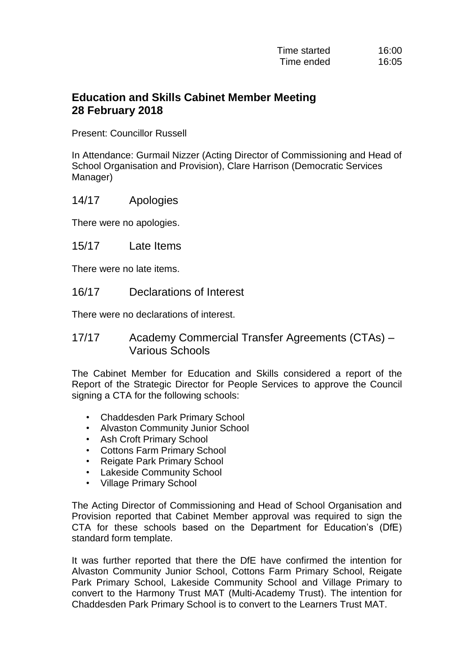## **Education and Skills Cabinet Member Meeting 28 February 2018**

Present: Councillor Russell

In Attendance: Gurmail Nizzer (Acting Director of Commissioning and Head of School Organisation and Provision), Clare Harrison (Democratic Services Manager)

## 14/17 Apologies

There were no apologies.

15/17 Late Items

There were no late items.

16/17 Declarations of Interest

There were no declarations of interest.

## 17/17 Academy Commercial Transfer Agreements (CTAs) – Various Schools

The Cabinet Member for Education and Skills considered a report of the Report of the Strategic Director for People Services to approve the Council signing a CTA for the following schools:

- Chaddesden Park Primary School
- Alvaston Community Junior School
- Ash Croft Primary School
- Cottons Farm Primary School
- Reigate Park Primary School
- Lakeside Community School
- Village Primary School

The Acting Director of Commissioning and Head of School Organisation and Provision reported that Cabinet Member approval was required to sign the CTA for these schools based on the Department for Education's (DfE) standard form template.

It was further reported that there the DfE have confirmed the intention for Alvaston Community Junior School, Cottons Farm Primary School, Reigate Park Primary School, Lakeside Community School and Village Primary to convert to the Harmony Trust MAT (Multi-Academy Trust). The intention for Chaddesden Park Primary School is to convert to the Learners Trust MAT.